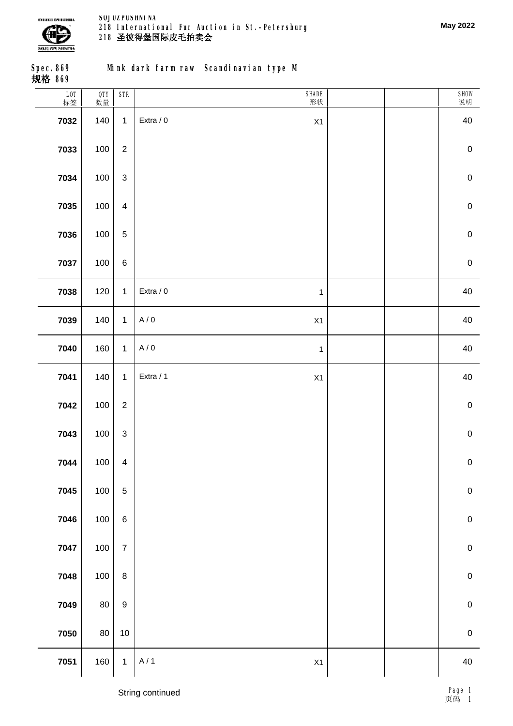

**Spec.869 规格 869**

**Mink dark farm raw Scandinavian type M**

| L0T<br>标签 | OTY<br>数量 | $\ensuremath{\mathsf{STR}}\xspace$ | SHADE<br>形状               | SHOW<br>说明  |
|-----------|-----------|------------------------------------|---------------------------|-------------|
| 7032      | 140       | $\mathbf{1}$                       | Extra / 0<br>X1           | 40          |
| 7033      | 100       | $\sqrt{2}$                         |                           | $\pmb{0}$   |
| 7034      | 100       | $\sqrt{3}$                         |                           | $\mathbf 0$ |
| 7035      | $100\,$   | $\overline{\mathbf{4}}$            |                           | $\pmb{0}$   |
| 7036      | 100       | $\mathbf 5$                        |                           | $\mathbf 0$ |
| 7037      | 100       | $\,6$                              |                           | $\mathbf 0$ |
| 7038      | 120       | $\mathbf{1}$                       | Extra / 0<br>$\mathbf{1}$ | 40          |
| 7039      | 140       | $\mathbf{1}$                       | A/0<br>X1                 | 40          |
| 7040      | 160       | $\mathbf{1}$                       | A/0<br>$\mathbf{1}$       | 40          |
| 7041      | 140       | $\mathbf{1}$                       | Extra / 1<br>X1           | 40          |
| 7042      | 100       | $\sqrt{2}$                         |                           | $\pmb{0}$   |
| 7043      | 100       | $\sqrt{3}$                         |                           | $\pmb{0}$   |
| 7044      | $100\,$   | $\overline{\mathbf{4}}$            |                           | $\mathbf 0$ |
| 7045      | $100\,$   | $\mathbf 5$                        |                           | $\mathbf 0$ |
| 7046      | 100       | $\,6\,$                            |                           | $\pmb{0}$   |
| 7047      | 100       | $\boldsymbol{7}$                   |                           | $\pmb{0}$   |
| 7048      | 100       | $\,8\,$                            |                           | $\pmb{0}$   |
| 7049      | $80\,$    | $\boldsymbol{9}$                   |                           | $\pmb{0}$   |
| 7050      | $80\,$    | $10$                               |                           | $\mathbf 0$ |
| 7051      | 160       | $\mathbf{1}$                       | A/1<br>X1                 | 40          |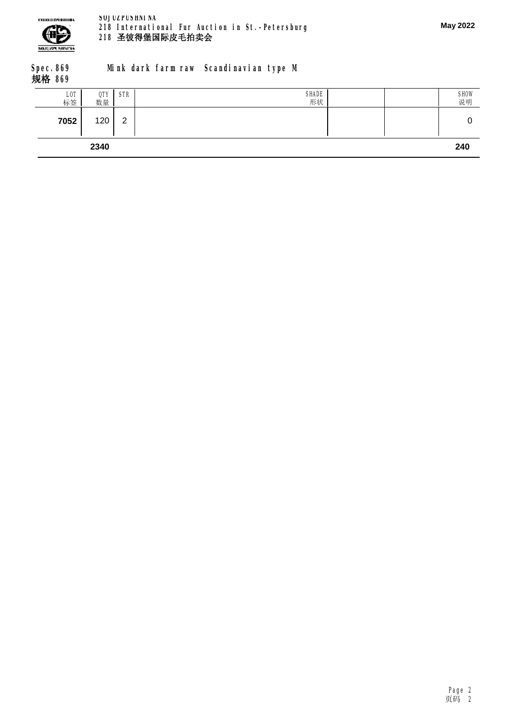

#### **Spec.869 规格 869 Mink dark farm raw Scandinavian type M**

| L <sub>0</sub> T<br>标签 | QTY<br>数量 | <b>STR</b>  | SHADE<br>形状 | SHOW<br>说明 |
|------------------------|-----------|-------------|-------------|------------|
| 7052                   | 120       | $\sim$<br>▃ |             |            |
|                        | 2340      |             |             | 240        |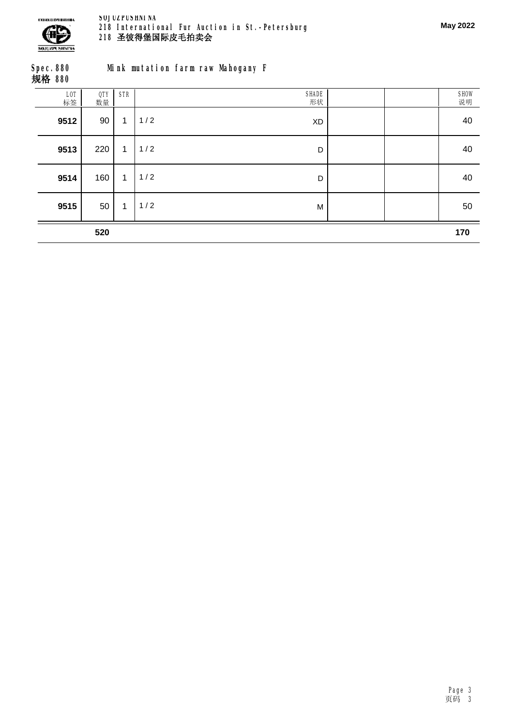

| Spec. 880<br>规格 880 |                                                                                                        |  |  | Mink mutation farm raw Mahogany F |  |
|---------------------|--------------------------------------------------------------------------------------------------------|--|--|-----------------------------------|--|
|                     | $\begin{array}{ c c c c c c c c } \hline \text{LOT} & & \text{QTY} & \text{STR} \\ \hline \end{array}$ |  |  |                                   |  |

| L0T<br>标签 | QTY<br>数量 | <b>STR</b>   | SHADE<br>形状      | SHOW<br>说明 |
|-----------|-----------|--------------|------------------|------------|
| 9512      | 90        | $\mathbf{1}$ | 1/2<br><b>XD</b> | 40         |
| 9513      | 220       | 1            | 1/2<br>D         | 40         |
| 9514      | 160       | $\mathbf{1}$ | 1/2<br>D         | 40         |
| 9515      | 50        | 1            | 1/2<br>M         | 50         |
|           | 520       |              |                  | 170        |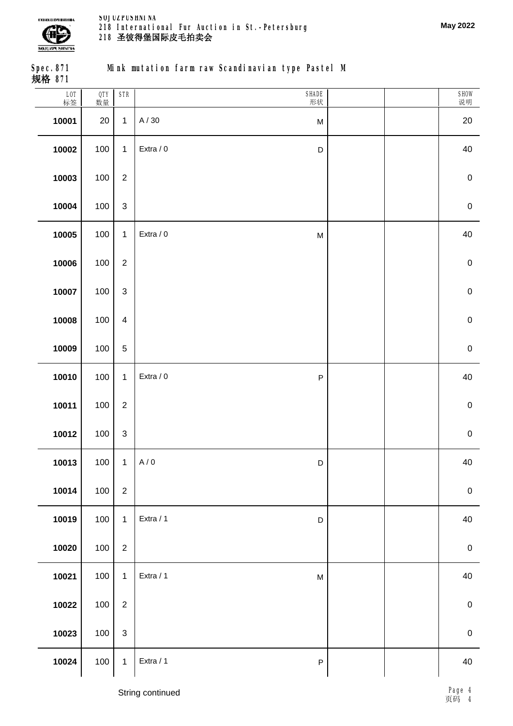

**May 2022**

**Spec.871 规格 871**

**Mink mutation farm raw Scandinavian type Pastel M**

| LOT<br>标签 | QTY<br>数量 | <b>STR</b>     | SHADE<br>形状                                                                                        | SHOW<br>说明       |
|-----------|-----------|----------------|----------------------------------------------------------------------------------------------------|------------------|
| 10001     | 20        | $\mathbf{1}$   | A / 30<br>${\sf M}$                                                                                | 20               |
| 10002     | 100       | $\mathbf{1}$   | Extra / 0<br>$\mathsf D$                                                                           | 40               |
| 10003     | 100       | $\sqrt{2}$     |                                                                                                    | $\pmb{0}$        |
| 10004     | 100       | $\sqrt{3}$     |                                                                                                    | $\pmb{0}$        |
| 10005     | 100       | $\mathbf{1}$   | Extra / 0<br>$\mathsf{M}% _{T}=\mathsf{M}_{T}\!\left( a,b\right) ,\ \mathsf{M}_{T}=\mathsf{M}_{T}$ | 40               |
| 10006     | 100       | $\sqrt{2}$     |                                                                                                    | $\pmb{0}$        |
| 10007     | 100       | $\mathbf 3$    |                                                                                                    | $\pmb{0}$        |
| 10008     | 100       | $\overline{4}$ |                                                                                                    | $\pmb{0}$        |
| 10009     | 100       | $\overline{5}$ |                                                                                                    | $\pmb{0}$        |
| 10010     | 100       | $\mathbf{1}$   | Extra / 0<br>$\mathsf P$                                                                           | 40               |
| 10011     | 100       | $\sqrt{2}$     |                                                                                                    | $\mathbf 0$      |
| 10012     | 100       | $\sqrt{3}$     |                                                                                                    | $\pmb{0}$        |
| 10013     | 100       | $\mathbf{1}$   | A/0<br>$\mathsf D$                                                                                 | 40               |
| 10014     | 100       | $\sqrt{2}$     |                                                                                                    | $\pmb{0}$        |
| 10019     | 100       | $\mathbf{1}$   | Extra / 1<br>$\mathsf D$                                                                           | 40               |
| 10020     | 100       | $\sqrt{2}$     |                                                                                                    | $\boldsymbol{0}$ |
| 10021     | 100       | $\mathbf{1}$   | Extra / 1<br>$\mathsf{M}% _{T}=\mathsf{M}_{T}\!\left( a,b\right) ,\ \mathsf{M}_{T}=\mathsf{M}_{T}$ | 40               |
| 10022     | 100       | $\sqrt{2}$     |                                                                                                    | $\pmb{0}$        |
| 10023     | 100       | $\sqrt{3}$     |                                                                                                    | $\mathbf 0$      |
| 10024     | 100       | $\mathbf 1$    | Extra / 1<br>$\mathsf P$                                                                           | 40               |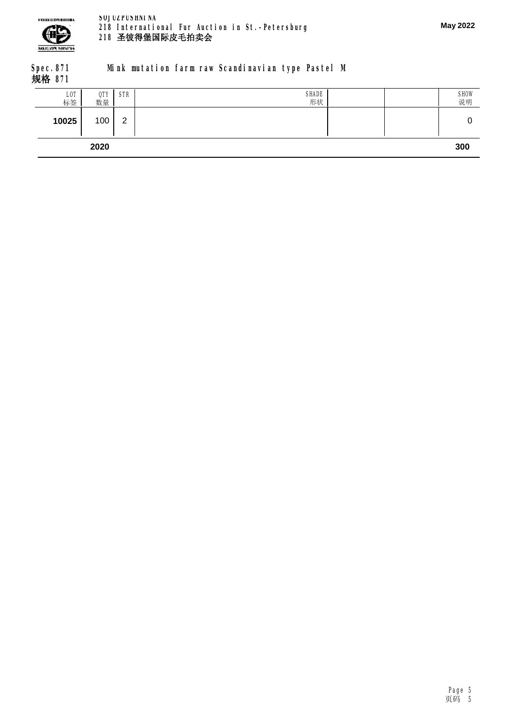

## **Spec.871 规格 871**

# **Mink mutation farm raw Scandinavian type Pastel M**

| L0T<br>标签 | QTY<br>数量 | <b>STR</b>     | SHADE<br>形状 |  | SHOW<br>说明 |
|-----------|-----------|----------------|-------------|--|------------|
| 10025     | 100       | $\overline{2}$ |             |  |            |
|           | 2020      |                |             |  | 300        |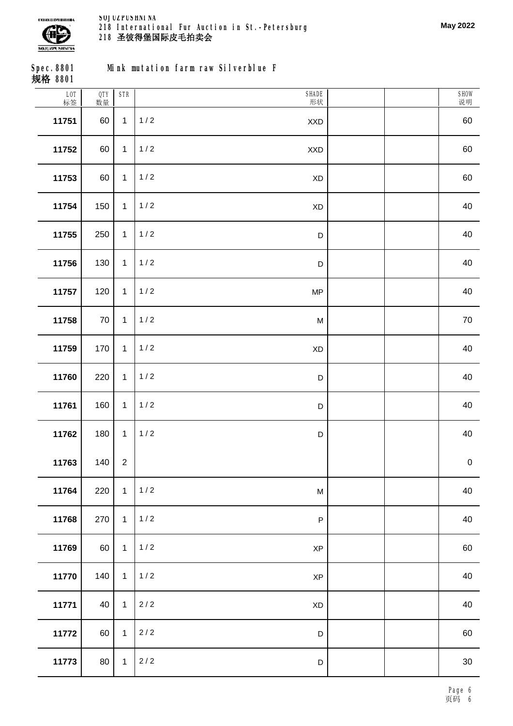

**May 2022**

SHOW 说明

| Spec. 8801<br>规格 8801 |                  |           |            | Mink mutation farm raw Silverblue F |  |
|-----------------------|------------------|-----------|------------|-------------------------------------|--|
|                       | <b>LOT</b><br>标签 | QTY<br>数量 | <b>STR</b> |                                     |  |
|                       | 11751            | 60        |            | 1/2                                 |  |
|                       |                  |           |            |                                     |  |

| 11751 | 60  | $\mathbf{1}$   | 1/2<br><b>XXD</b>               | 60          |
|-------|-----|----------------|---------------------------------|-------------|
| 11752 | 60  | $\mathbf{1}$   | 1/2<br>$\mathsf{XXD}$           | 60          |
| 11753 | 60  | $\mathbf{1}$   | $1/2$<br>$\mathsf{X}\mathsf{D}$ | 60          |
| 11754 | 150 | $\mathbf{1}$   | $1/2$<br>XD                     | 40          |
| 11755 | 250 | $\mathbf{1}$   | $1/2$<br>D                      | 40          |
| 11756 | 130 | $\mathbf{1}$   | 1/2<br>$\mathsf D$              | 40          |
| 11757 | 120 | $\mathbf{1}$   | $1/2$<br>MP                     | 40          |
| 11758 | 70  | $\mathbf{1}$   | $1/2$<br>M                      | $70\,$      |
| 11759 | 170 | $\mathbf{1}$   | $1/2$<br>$\mathsf{X}\mathsf{D}$ | 40          |
| 11760 | 220 | $\mathbf{1}$   | $1/2$<br>$\mathsf D$            | 40          |
| 11761 | 160 | $\mathbf{1}$   | $1/2$<br>$\mathsf D$            | 40          |
| 11762 | 180 | $\mathbf{1}$   | $1/2$<br>$\mathsf D$            | 40          |
| 11763 | 140 | $\overline{2}$ |                                 | $\mathbf 0$ |
| 11764 | 220 | $\mathbf{1}$   | $1/2$<br>M                      | 40          |
| 11768 | 270 | $\mathbf{1}$   | $1/2$<br>${\sf P}$              | 40          |
| 11769 | 60  | $\mathbf{1}$   | 1/2<br><b>XP</b>                | 60          |
| 11770 | 140 | $\mathbf{1}$   | $1/2$<br><b>XP</b>              | 40          |
| 11771 | 40  | $\mathbf{1}$   | $2/2$<br>XD                     | 40          |
| 11772 | 60  | $\mathbf{1}$   | $2/2$<br>$\mathsf D$            | 60          |
| 11773 | 80  | $\mathbf{1}$   | $2/2$<br>$\mathsf D$            | $30\,$      |
|       |     |                |                                 |             |

**SHADE** 形状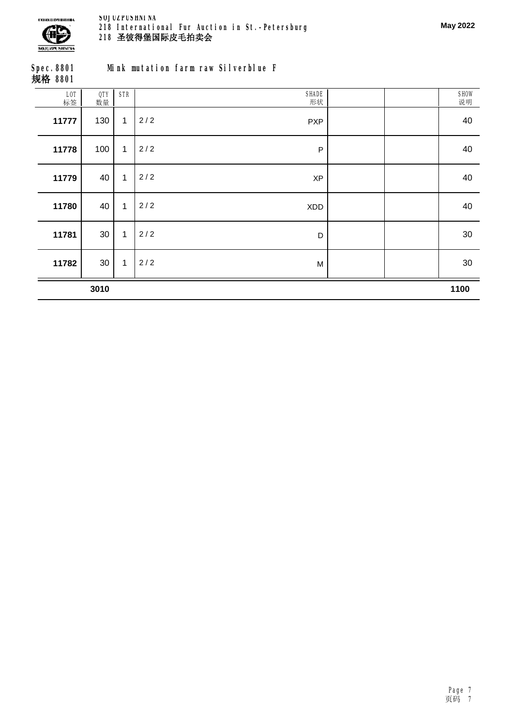

| Spec. 8801<br>规格 8801 |       |         |  | Mink mutation farm raw Silverblue F |  |
|-----------------------|-------|---------|--|-------------------------------------|--|
|                       | LOT I | QTY STR |  |                                     |  |

|           | 3010      |              |                   | 1100       |
|-----------|-----------|--------------|-------------------|------------|
| 11782     | 30        | $\mathbf{1}$ | 2/2<br>M          | 30         |
| 11781     | 30        | $\mathbf{1}$ | 2/2<br>D          | 30         |
| 11780     | 40        | 1            | 2/2<br>XDD        | 40         |
| 11779     | 40        | $\mathbf{1}$ | 2/2<br>XP         | 40         |
| 11778     | 100       | $\mathbf{1}$ | 2/2<br>$\sf P$    | 40         |
| 11777     | 130       | 1            | 2/2<br><b>PXP</b> | 40         |
| LOT<br>标签 | QTY<br>数量 | <b>STR</b>   | SHADE<br>形状       | SHOW<br>说明 |